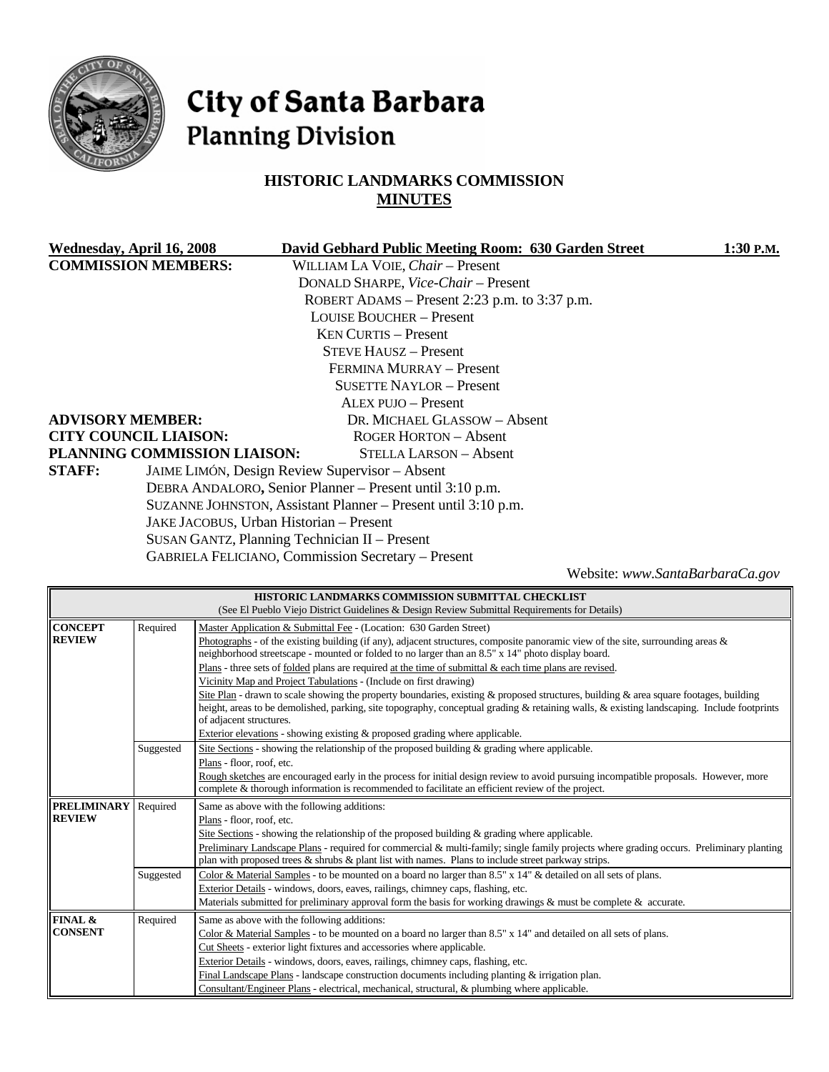

# City of Santa Barbara **Planning Division**

# **HISTORIC LANDMARKS COMMISSION MINUTES**

| Wednesday, April 16, 2008    |                              | David Gebhard Public Meeting Room: 630 Garden Street          | 1:30 P.M. |
|------------------------------|------------------------------|---------------------------------------------------------------|-----------|
| <b>COMMISSION MEMBERS:</b>   |                              | WILLIAM LA VOIE, Chair - Present                              |           |
|                              |                              | DONALD SHARPE, Vice-Chair - Present                           |           |
|                              |                              | ROBERT ADAMS – Present 2:23 p.m. to $3:37$ p.m.               |           |
|                              |                              | <b>LOUISE BOUCHER – Present</b>                               |           |
|                              |                              | <b>KEN CURTIS – Present</b>                                   |           |
|                              |                              | <b>STEVE HAUSZ – Present</b>                                  |           |
|                              |                              | FERMINA MURRAY - Present                                      |           |
|                              |                              | <b>SUSETTE NAYLOR – Present</b>                               |           |
|                              |                              | ALEX PUJO - Present                                           |           |
| <b>ADVISORY MEMBER:</b>      |                              | DR. MICHAEL GLASSOW - Absent                                  |           |
| <b>CITY COUNCIL LIAISON:</b> |                              | ROGER HORTON – Absent                                         |           |
|                              | PLANNING COMMISSION LIAISON: | STELLA LARSON - Absent                                        |           |
| <b>STAFF:</b>                |                              | JAIME LIMÓN, Design Review Supervisor - Absent                |           |
|                              |                              | DEBRA ANDALORO, Senior Planner – Present until 3:10 p.m.      |           |
|                              |                              | SUZANNE JOHNSTON, Assistant Planner - Present until 3:10 p.m. |           |
|                              |                              | JAKE JACOBUS, Urban Historian - Present                       |           |
|                              |                              | SUSAN GANTZ, Planning Technician II - Present                 |           |

GABRIELA FELICIANO, Commission Secretary – Present

Website: *www.SantaBarbaraCa.gov*

|                    | HISTORIC LANDMARKS COMMISSION SUBMITTAL CHECKLIST                 |                                                                                                                                                                                                                                                                                     |  |  |
|--------------------|-------------------------------------------------------------------|-------------------------------------------------------------------------------------------------------------------------------------------------------------------------------------------------------------------------------------------------------------------------------------|--|--|
|                    |                                                                   | (See El Pueblo Viejo District Guidelines & Design Review Submittal Requirements for Details)                                                                                                                                                                                        |  |  |
| <b>CONCEPT</b>     | Required                                                          | Master Application & Submittal Fee - (Location: 630 Garden Street)                                                                                                                                                                                                                  |  |  |
| <b>REVIEW</b>      |                                                                   | Photographs - of the existing building (if any), adjacent structures, composite panoramic view of the site, surrounding areas $\&$<br>neighborhood streetscape - mounted or folded to no larger than an 8.5" x 14" photo display board.                                             |  |  |
|                    |                                                                   | Plans - three sets of <u>folded</u> plans are required at the time of submittal & each time plans are revised.                                                                                                                                                                      |  |  |
|                    | Vicinity Map and Project Tabulations - (Include on first drawing) |                                                                                                                                                                                                                                                                                     |  |  |
|                    |                                                                   | Site Plan - drawn to scale showing the property boundaries, existing & proposed structures, building & area square footages, building<br>height, areas to be demolished, parking, site topography, conceptual grading & retaining walls, & existing landscaping. Include footprints |  |  |
|                    |                                                                   | of adjacent structures.<br>Exterior elevations - showing existing $\&$ proposed grading where applicable.                                                                                                                                                                           |  |  |
|                    | Suggested                                                         | Site Sections - showing the relationship of the proposed building $\&$ grading where applicable.                                                                                                                                                                                    |  |  |
|                    |                                                                   | Plans - floor, roof, etc.                                                                                                                                                                                                                                                           |  |  |
|                    |                                                                   | Rough sketches are encouraged early in the process for initial design review to avoid pursuing incompatible proposals. However, more                                                                                                                                                |  |  |
|                    |                                                                   | complete & thorough information is recommended to facilitate an efficient review of the project.                                                                                                                                                                                    |  |  |
|                    |                                                                   |                                                                                                                                                                                                                                                                                     |  |  |
| <b>PRELIMINARY</b> | Required                                                          | Same as above with the following additions:                                                                                                                                                                                                                                         |  |  |
| <b>REVIEW</b>      |                                                                   | Plans - floor, roof, etc.                                                                                                                                                                                                                                                           |  |  |
|                    |                                                                   | Site Sections - showing the relationship of the proposed building $\&$ grading where applicable.                                                                                                                                                                                    |  |  |
|                    |                                                                   | Preliminary Landscape Plans - required for commercial & multi-family; single family projects where grading occurs. Preliminary planting                                                                                                                                             |  |  |
|                    |                                                                   | plan with proposed trees & shrubs & plant list with names. Plans to include street parkway strips.                                                                                                                                                                                  |  |  |
|                    | Suggested                                                         | Color & Material Samples - to be mounted on a board no larger than 8.5" x 14" & detailed on all sets of plans.                                                                                                                                                                      |  |  |
|                    |                                                                   | Exterior Details - windows, doors, eaves, railings, chimney caps, flashing, etc.                                                                                                                                                                                                    |  |  |
|                    |                                                                   | Materials submitted for preliminary approval form the basis for working drawings & must be complete $\&$ accurate.                                                                                                                                                                  |  |  |
| FINAL &            | Required                                                          | Same as above with the following additions:                                                                                                                                                                                                                                         |  |  |
| <b>CONSENT</b>     |                                                                   | Color & Material Samples - to be mounted on a board no larger than 8.5" x 14" and detailed on all sets of plans.                                                                                                                                                                    |  |  |
|                    |                                                                   | Cut Sheets - exterior light fixtures and accessories where applicable.                                                                                                                                                                                                              |  |  |
|                    |                                                                   | Exterior Details - windows, doors, eaves, railings, chimney caps, flashing, etc.                                                                                                                                                                                                    |  |  |
|                    |                                                                   | Final Landscape Plans - landscape construction documents including planting & irrigation plan.<br>Consultant/Engineer Plans - electrical, mechanical, structural, & plumbing where applicable.                                                                                      |  |  |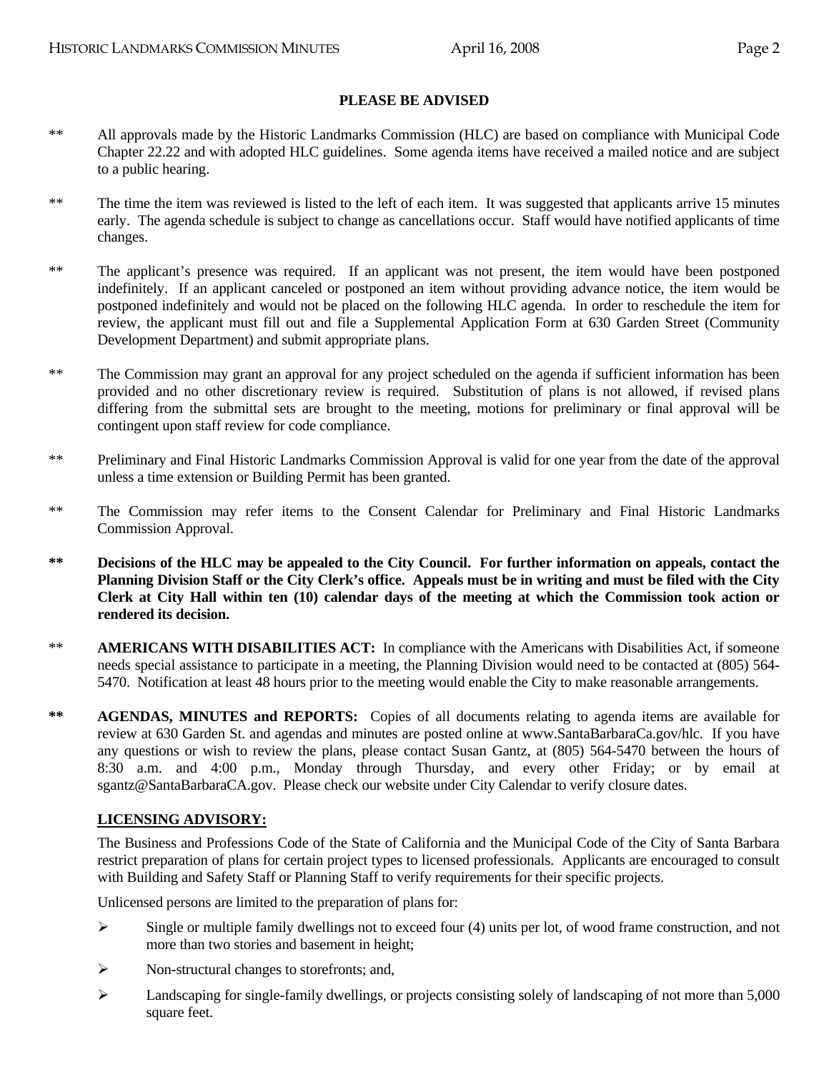#### **PLEASE BE ADVISED**

- \*\* All approvals made by the Historic Landmarks Commission (HLC) are based on compliance with Municipal Code Chapter 22.22 and with adopted HLC guidelines. Some agenda items have received a mailed notice and are subject to a public hearing.
- \*\* The time the item was reviewed is listed to the left of each item. It was suggested that applicants arrive 15 minutes early. The agenda schedule is subject to change as cancellations occur. Staff would have notified applicants of time changes.
- \*\* The applicant's presence was required. If an applicant was not present, the item would have been postponed indefinitely. If an applicant canceled or postponed an item without providing advance notice, the item would be postponed indefinitely and would not be placed on the following HLC agenda. In order to reschedule the item for review, the applicant must fill out and file a Supplemental Application Form at 630 Garden Street (Community Development Department) and submit appropriate plans.
- \*\* The Commission may grant an approval for any project scheduled on the agenda if sufficient information has been provided and no other discretionary review is required. Substitution of plans is not allowed, if revised plans differing from the submittal sets are brought to the meeting, motions for preliminary or final approval will be contingent upon staff review for code compliance.
- \*\* Preliminary and Final Historic Landmarks Commission Approval is valid for one year from the date of the approval unless a time extension or Building Permit has been granted.
- \*\* The Commission may refer items to the Consent Calendar for Preliminary and Final Historic Landmarks Commission Approval.
- **\*\* Decisions of the HLC may be appealed to the City Council. For further information on appeals, contact the Planning Division Staff or the City Clerk's office. Appeals must be in writing and must be filed with the City Clerk at City Hall within ten (10) calendar days of the meeting at which the Commission took action or rendered its decision.**
- \*\* **AMERICANS WITH DISABILITIES ACT:** In compliance with the Americans with Disabilities Act, if someone needs special assistance to participate in a meeting, the Planning Division would need to be contacted at (805) 564- 5470. Notification at least 48 hours prior to the meeting would enable the City to make reasonable arrangements.
- \*\* **AGENDAS, MINUTES and REPORTS:** Copies of all documents relating to agenda items are available for review at 630 Garden St. and agendas and minutes are posted online at www.SantaBarbaraCa.gov/hlc. If you have any questions or wish to review the plans, please contact Susan Gantz, at (805) 564-5470 between the hours of 8:30 a.m. and 4:00 p.m., Monday through Thursday, and every other Friday; or by email at sgantz@SantaBarbaraCA.gov. Please check our website under City Calendar to verify closure dates.

#### **LICENSING ADVISORY:**

The Business and Professions Code of the State of California and the Municipal Code of the City of Santa Barbara restrict preparation of plans for certain project types to licensed professionals. Applicants are encouraged to consult with Building and Safety Staff or Planning Staff to verify requirements for their specific projects.

Unlicensed persons are limited to the preparation of plans for:

- $\triangleright$  Single or multiple family dwellings not to exceed four (4) units per lot, of wood frame construction, and not more than two stories and basement in height;
- ¾ Non-structural changes to storefronts; and,
- ¾ Landscaping for single-family dwellings, or projects consisting solely of landscaping of not more than 5,000 square feet.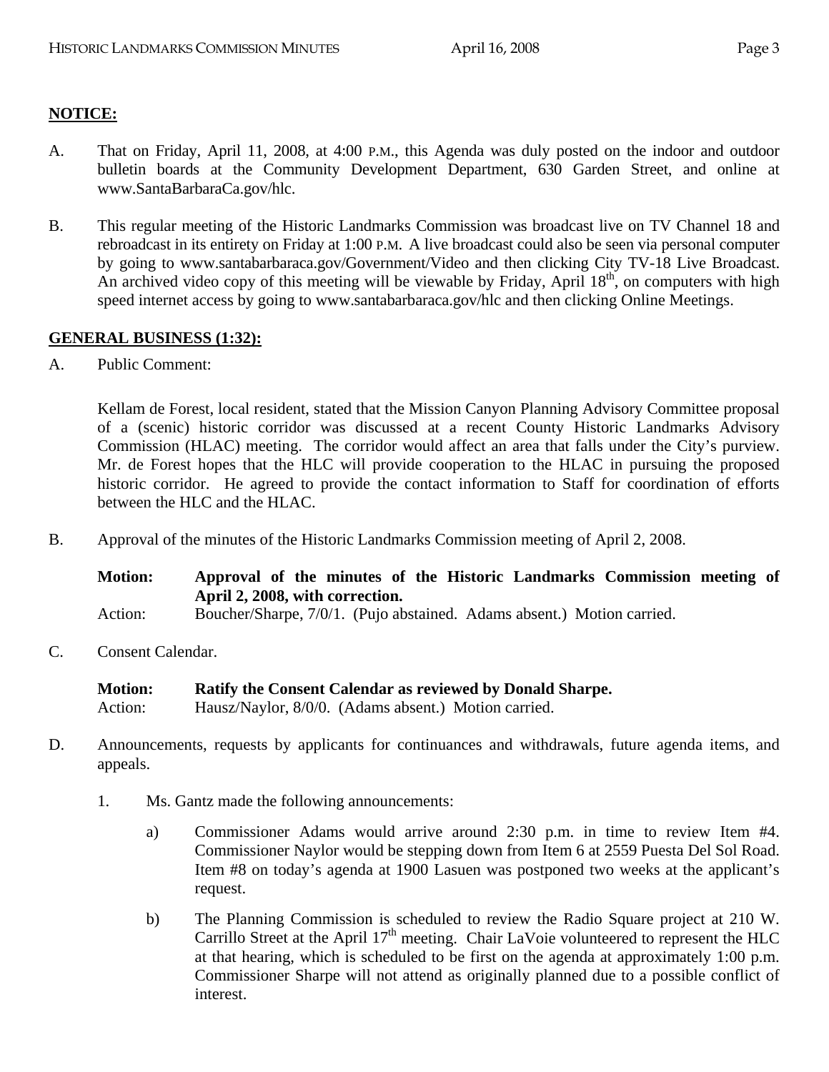# **NOTICE:**

- A. That on Friday, April 11, 2008, at 4:00 P.M., this Agenda was duly posted on the indoor and outdoor bulletin boards at the Community Development Department, 630 Garden Street, and online at www.SantaBarbaraCa.gov/hlc.
- B. This regular meeting of the Historic Landmarks Commission was broadcast live on TV Channel 18 and rebroadcast in its entirety on Friday at 1:00 P.M. A live broadcast could also be seen via personal computer by going to www.santabarbaraca.gov/Government/Video and then clicking City TV-18 Live Broadcast. An archived video copy of this meeting will be viewable by Friday, April  $18<sup>th</sup>$ , on computers with high speed internet access by going to www.santabarbaraca.gov/hlc and then clicking Online Meetings.

#### **GENERAL BUSINESS (1:32):**

A. Public Comment:

Kellam de Forest, local resident, stated that the Mission Canyon Planning Advisory Committee proposal of a (scenic) historic corridor was discussed at a recent County Historic Landmarks Advisory Commission (HLAC) meeting. The corridor would affect an area that falls under the City's purview. Mr. de Forest hopes that the HLC will provide cooperation to the HLAC in pursuing the proposed historic corridor. He agreed to provide the contact information to Staff for coordination of efforts between the HLC and the HLAC.

B. Approval of the minutes of the Historic Landmarks Commission meeting of April 2, 2008.

**Motion: Approval of the minutes of the Historic Landmarks Commission meeting of April 2, 2008, with correction.** 

Action: Boucher/Sharpe, 7/0/1. (Pujo abstained. Adams absent.) Motion carried.

C. Consent Calendar.

**Motion: Ratify the Consent Calendar as reviewed by Donald Sharpe.**  Action: Hausz/Naylor, 8/0/0. (Adams absent.) Motion carried.

- D. Announcements, requests by applicants for continuances and withdrawals, future agenda items, and appeals.
	- 1. Ms. Gantz made the following announcements:
		- a) Commissioner Adams would arrive around 2:30 p.m. in time to review Item #4. Commissioner Naylor would be stepping down from Item 6 at 2559 Puesta Del Sol Road. Item #8 on today's agenda at 1900 Lasuen was postponed two weeks at the applicant's request.
		- b) The Planning Commission is scheduled to review the Radio Square project at 210 W. Carrillo Street at the April  $17<sup>th</sup>$  meeting. Chair LaVoie volunteered to represent the HLC at that hearing, which is scheduled to be first on the agenda at approximately 1:00 p.m. Commissioner Sharpe will not attend as originally planned due to a possible conflict of interest.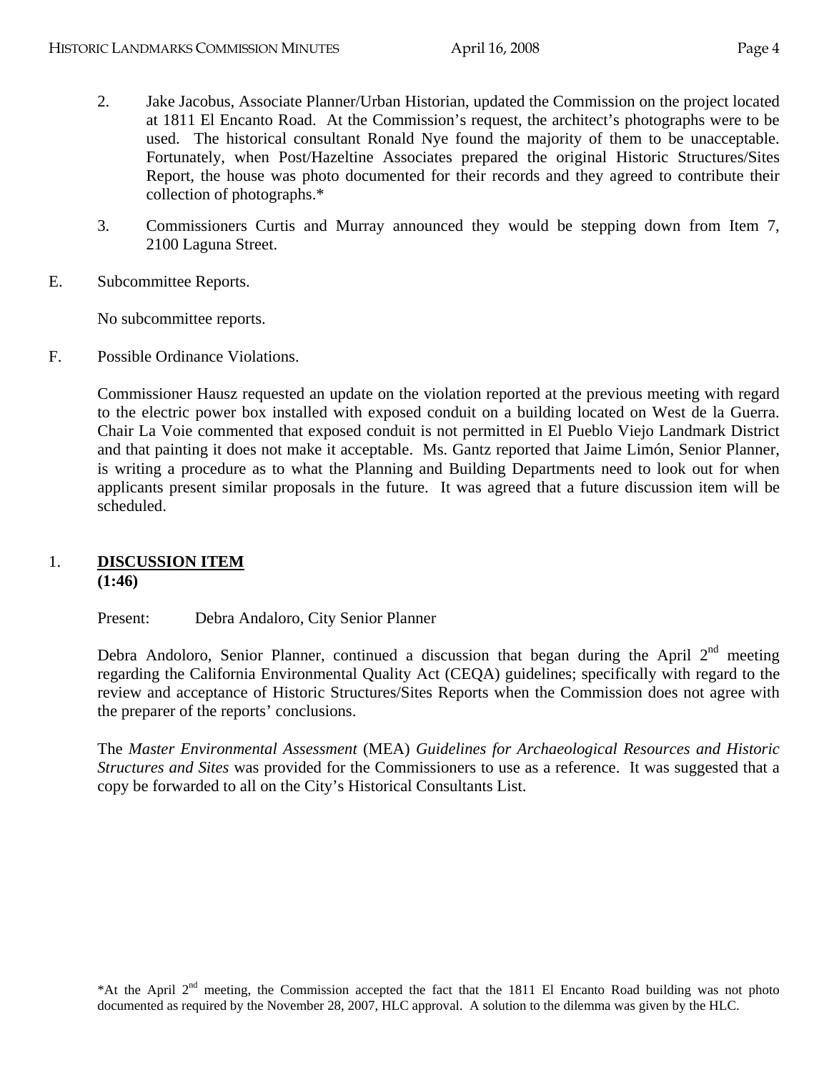- 2. Jake Jacobus, Associate Planner/Urban Historian, updated the Commission on the project located at 1811 El Encanto Road. At the Commission's request, the architect's photographs were to be used. The historical consultant Ronald Nye found the majority of them to be unacceptable. Fortunately, when Post/Hazeltine Associates prepared the original Historic Structures/Sites Report, the house was photo documented for their records and they agreed to contribute their collection of photographs.\*
- 3. Commissioners Curtis and Murray announced they would be stepping down from Item 7, 2100 Laguna Street.
- E. Subcommittee Reports.

No subcommittee reports.

F. Possible Ordinance Violations.

Commissioner Hausz requested an update on the violation reported at the previous meeting with regard to the electric power box installed with exposed conduit on a building located on West de la Guerra. Chair La Voie commented that exposed conduit is not permitted in El Pueblo Viejo Landmark District and that painting it does not make it acceptable. Ms. Gantz reported that Jaime Limón, Senior Planner, is writing a procedure as to what the Planning and Building Departments need to look out for when applicants present similar proposals in the future. It was agreed that a future discussion item will be scheduled.

# 1. **DISCUSSION ITEM (1:46)**

Present: Debra Andaloro, City Senior Planner

Debra Andoloro, Senior Planner, continued a discussion that began during the April  $2^{nd}$  meeting regarding the California Environmental Quality Act (CEQA) guidelines; specifically with regard to the review and acceptance of Historic Structures/Sites Reports when the Commission does not agree with the preparer of the reports' conclusions.

The *Master Environmental Assessment* (MEA) *Guidelines for Archaeological Resources and Historic Structures and Sites* was provided for the Commissioners to use as a reference. It was suggested that a copy be forwarded to all on the City's Historical Consultants List.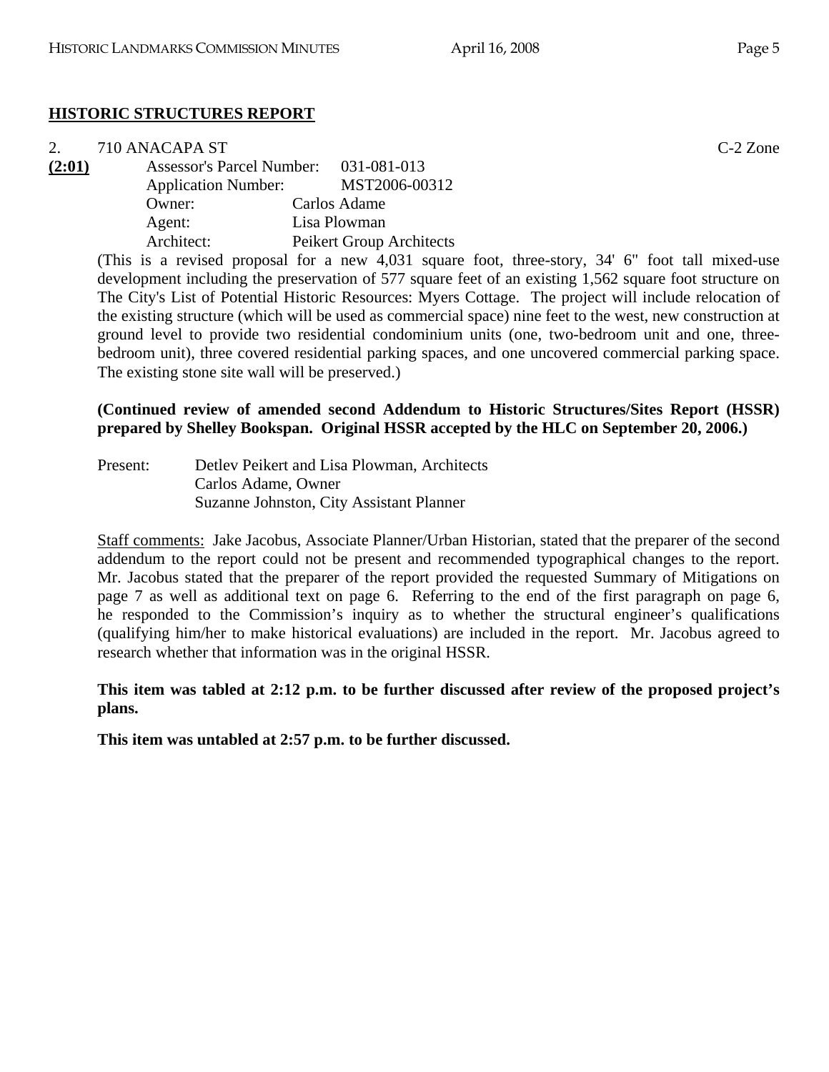# **HISTORIC STRUCTURES REPORT**

| 2.     | 710 ANACAPA ST                        |                          | $C-2$ Zone |
|--------|---------------------------------------|--------------------------|------------|
| (2:01) | Assessor's Parcel Number: 031-081-013 |                          |            |
|        | <b>Application Number:</b>            | MST2006-00312            |            |
|        | Owner:                                | Carlos Adame             |            |
|        | Agent:                                | Lisa Plowman             |            |
|        | Architect:                            | Peikert Group Architects |            |

(This is a revised proposal for a new 4,031 square foot, three-story, 34' 6" foot tall mixed-use development including the preservation of 577 square feet of an existing 1,562 square foot structure on The City's List of Potential Historic Resources: Myers Cottage. The project will include relocation of the existing structure (which will be used as commercial space) nine feet to the west, new construction at ground level to provide two residential condominium units (one, two-bedroom unit and one, threebedroom unit), three covered residential parking spaces, and one uncovered commercial parking space. The existing stone site wall will be preserved.)

# **(Continued review of amended second Addendum to Historic Structures/Sites Report (HSSR) prepared by Shelley Bookspan. Original HSSR accepted by the HLC on September 20, 2006.)**

Present: Detlev Peikert and Lisa Plowman, Architects Carlos Adame, Owner Suzanne Johnston, City Assistant Planner

Staff comments: Jake Jacobus, Associate Planner/Urban Historian, stated that the preparer of the second addendum to the report could not be present and recommended typographical changes to the report. Mr. Jacobus stated that the preparer of the report provided the requested Summary of Mitigations on page 7 as well as additional text on page 6. Referring to the end of the first paragraph on page 6, he responded to the Commission's inquiry as to whether the structural engineer's qualifications (qualifying him/her to make historical evaluations) are included in the report. Mr. Jacobus agreed to research whether that information was in the original HSSR.

**This item was tabled at 2:12 p.m. to be further discussed after review of the proposed project's plans.** 

**This item was untabled at 2:57 p.m. to be further discussed.**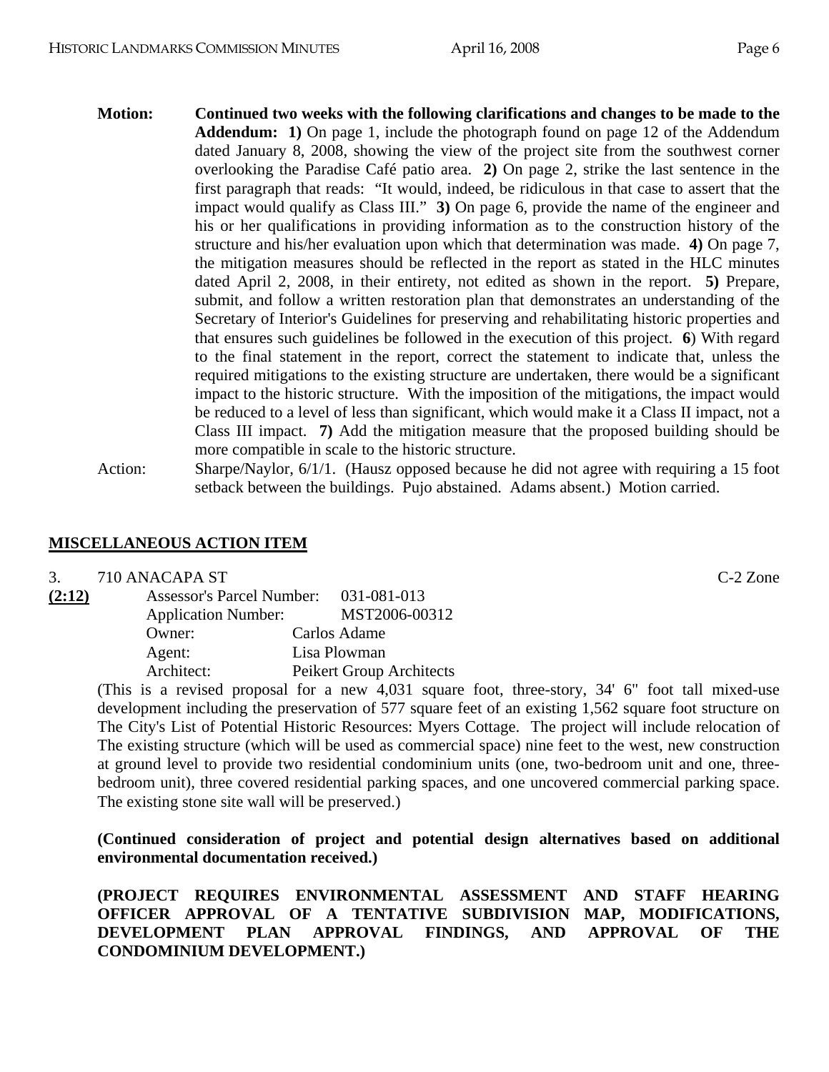- **Motion: Continued two weeks with the following clarifications and changes to be made to the Addendum: 1)** On page 1, include the photograph found on page 12 of the Addendum dated January 8, 2008, showing the view of the project site from the southwest corner overlooking the Paradise Café patio area. **2)** On page 2, strike the last sentence in the first paragraph that reads: "It would, indeed, be ridiculous in that case to assert that the impact would qualify as Class III." **3)** On page 6, provide the name of the engineer and his or her qualifications in providing information as to the construction history of the structure and his/her evaluation upon which that determination was made. **4)** On page 7, the mitigation measures should be reflected in the report as stated in the HLC minutes dated April 2, 2008, in their entirety, not edited as shown in the report. **5)** Prepare, submit, and follow a written restoration plan that demonstrates an understanding of the Secretary of Interior's Guidelines for preserving and rehabilitating historic properties and that ensures such guidelines be followed in the execution of this project. **6**) With regard to the final statement in the report, correct the statement to indicate that, unless the required mitigations to the existing structure are undertaken, there would be a significant impact to the historic structure. With the imposition of the mitigations, the impact would be reduced to a level of less than significant, which would make it a Class II impact, not a Class III impact. **7)** Add the mitigation measure that the proposed building should be more compatible in scale to the historic structure.
- Action: Sharpe/Naylor, 6/1/1. (Hausz opposed because he did not agree with requiring a 15 foot setback between the buildings. Pujo abstained. Adams absent.) Motion carried.

### **MISCELLANEOUS ACTION ITEM**

#### 3. 710 ANACAPA ST C-2 Zone

| (2:12) | Assessor's Parcel Number: 031-081-013 |                          |
|--------|---------------------------------------|--------------------------|
|        | <b>Application Number:</b>            | MST2006-00312            |
|        | Owner:                                | Carlos Adame             |
|        | Agent:                                | Lisa Plowman             |
|        | Architect:                            | Peikert Group Architects |
|        |                                       |                          |

(This is a revised proposal for a new 4,031 square foot, three-story, 34' 6" foot tall mixed-use development including the preservation of 577 square feet of an existing 1,562 square foot structure on The City's List of Potential Historic Resources: Myers Cottage. The project will include relocation of The existing structure (which will be used as commercial space) nine feet to the west, new construction at ground level to provide two residential condominium units (one, two-bedroom unit and one, threebedroom unit), three covered residential parking spaces, and one uncovered commercial parking space. The existing stone site wall will be preserved.)

**(Continued consideration of project and potential design alternatives based on additional environmental documentation received.)** 

**(PROJECT REQUIRES ENVIRONMENTAL ASSESSMENT AND STAFF HEARING OFFICER APPROVAL OF A TENTATIVE SUBDIVISION MAP, MODIFICATIONS, DEVELOPMENT PLAN APPROVAL FINDINGS, AND APPROVAL OF THE CONDOMINIUM DEVELOPMENT.)**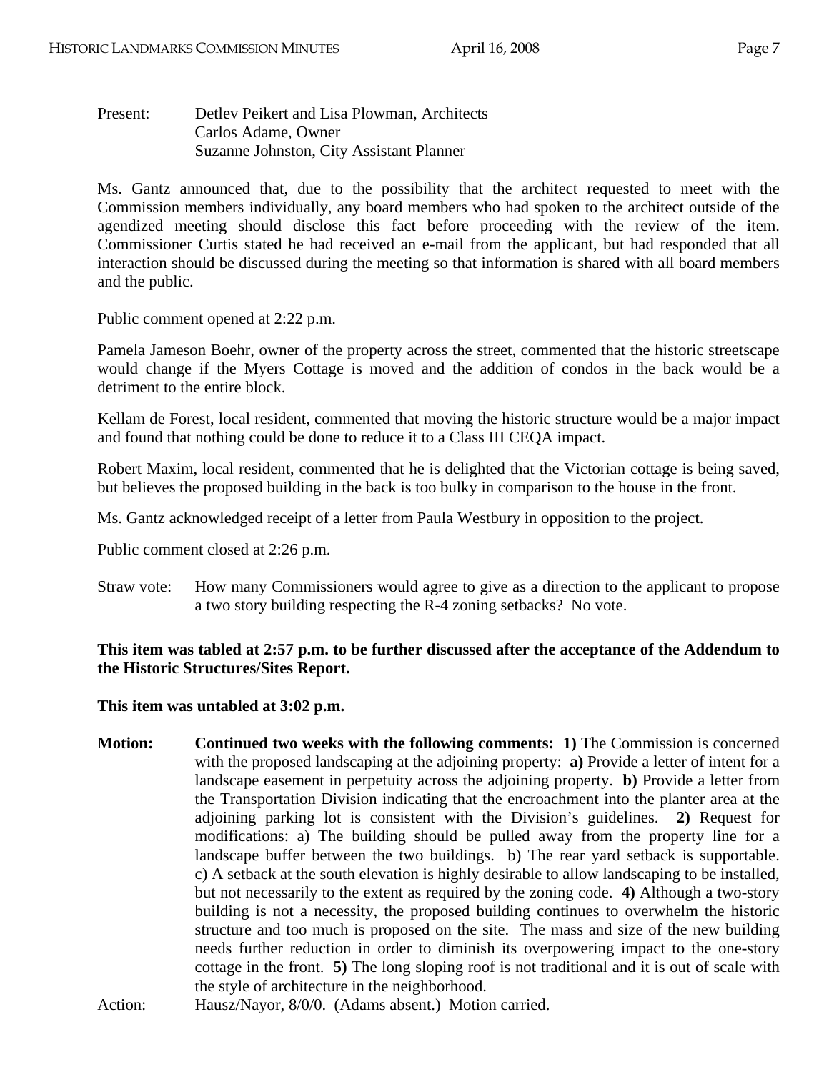Present: Detlev Peikert and Lisa Plowman, Architects Carlos Adame, Owner Suzanne Johnston, City Assistant Planner

Ms. Gantz announced that, due to the possibility that the architect requested to meet with the Commission members individually, any board members who had spoken to the architect outside of the agendized meeting should disclose this fact before proceeding with the review of the item. Commissioner Curtis stated he had received an e-mail from the applicant, but had responded that all interaction should be discussed during the meeting so that information is shared with all board members and the public.

Public comment opened at 2:22 p.m.

Pamela Jameson Boehr, owner of the property across the street, commented that the historic streetscape would change if the Myers Cottage is moved and the addition of condos in the back would be a detriment to the entire block.

Kellam de Forest, local resident, commented that moving the historic structure would be a major impact and found that nothing could be done to reduce it to a Class III CEQA impact.

Robert Maxim, local resident, commented that he is delighted that the Victorian cottage is being saved, but believes the proposed building in the back is too bulky in comparison to the house in the front.

Ms. Gantz acknowledged receipt of a letter from Paula Westbury in opposition to the project.

Public comment closed at 2:26 p.m.

Straw vote: How many Commissioners would agree to give as a direction to the applicant to propose a two story building respecting the R-4 zoning setbacks? No vote.

# **This item was tabled at 2:57 p.m. to be further discussed after the acceptance of the Addendum to the Historic Structures/Sites Report.**

#### **This item was untabled at 3:02 p.m.**

**Motion: Continued two weeks with the following comments: 1)** The Commission is concerned with the proposed landscaping at the adjoining property: **a)** Provide a letter of intent for a landscape easement in perpetuity across the adjoining property. **b)** Provide a letter from the Transportation Division indicating that the encroachment into the planter area at the adjoining parking lot is consistent with the Division's guidelines. **2)** Request for modifications: a) The building should be pulled away from the property line for a landscape buffer between the two buildings. b) The rear yard setback is supportable. c) A setback at the south elevation is highly desirable to allow landscaping to be installed, but not necessarily to the extent as required by the zoning code. **4)** Although a two-story building is not a necessity, the proposed building continues to overwhelm the historic structure and too much is proposed on the site. The mass and size of the new building needs further reduction in order to diminish its overpowering impact to the one-story cottage in the front. **5)** The long sloping roof is not traditional and it is out of scale with the style of architecture in the neighborhood.

Action: Hausz/Nayor, 8/0/0. (Adams absent.) Motion carried.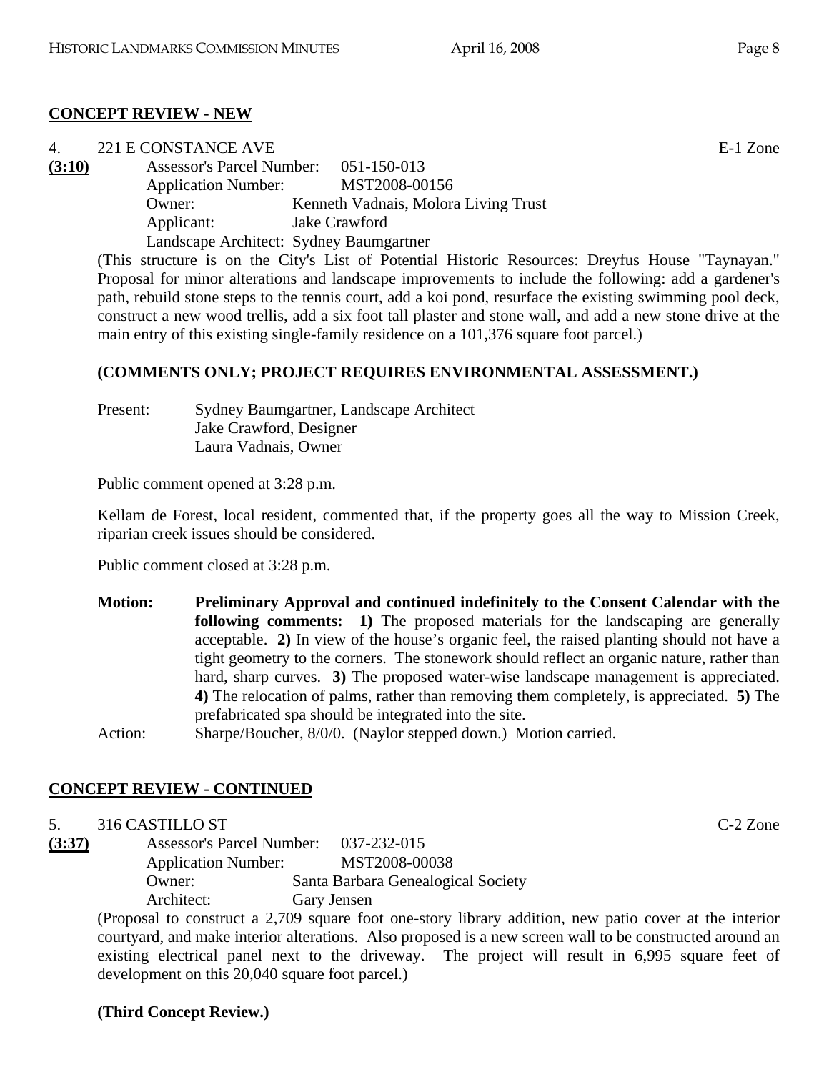# **CONCEPT REVIEW - NEW**

| 4.     | 221 E CONSTANCE AVE                     |                                      | E-1 Zone |
|--------|-----------------------------------------|--------------------------------------|----------|
| (3:10) | Assessor's Parcel Number: 051-150-013   |                                      |          |
|        | <b>Application Number:</b>              | MST2008-00156                        |          |
|        | Owner:                                  | Kenneth Vadnais, Molora Living Trust |          |
|        | Applicant:                              | Jake Crawford                        |          |
|        | Landscape Architect: Sydney Baumgartner |                                      |          |
|        |                                         |                                      |          |

(This structure is on the City's List of Potential Historic Resources: Dreyfus House "Taynayan." Proposal for minor alterations and landscape improvements to include the following: add a gardener's path, rebuild stone steps to the tennis court, add a koi pond, resurface the existing swimming pool deck, construct a new wood trellis, add a six foot tall plaster and stone wall, and add a new stone drive at the main entry of this existing single-family residence on a 101,376 square foot parcel.)

#### **(COMMENTS ONLY; PROJECT REQUIRES ENVIRONMENTAL ASSESSMENT.)**

Present: Sydney Baumgartner, Landscape Architect Jake Crawford, Designer Laura Vadnais, Owner

Public comment opened at 3:28 p.m.

Kellam de Forest, local resident, commented that, if the property goes all the way to Mission Creek, riparian creek issues should be considered.

Public comment closed at 3:28 p.m.

- **Motion: Preliminary Approval and continued indefinitely to the Consent Calendar with the following comments:** 1) The proposed materials for the landscaping are generally acceptable. **2)** In view of the house's organic feel, the raised planting should not have a tight geometry to the corners. The stonework should reflect an organic nature, rather than hard, sharp curves. **3)** The proposed water-wise landscape management is appreciated. **4)** The relocation of palms, rather than removing them completely, is appreciated. **5)** The prefabricated spa should be integrated into the site.
- Action: Sharpe/Boucher, 8/0/0. (Naylor stepped down.) Motion carried.

# **CONCEPT REVIEW - CONTINUED**

5. 316 CASTILLO ST C-2 Zone

**(3:37)** Assessor's Parcel Number: 037-232-015 Application Number: MST2008-00038 Owner: Santa Barbara Genealogical Society Architect: Gary Jensen

> (Proposal to construct a 2,709 square foot one-story library addition, new patio cover at the interior courtyard, and make interior alterations. Also proposed is a new screen wall to be constructed around an existing electrical panel next to the driveway. The project will result in 6,995 square feet of development on this 20,040 square foot parcel.)

# **(Third Concept Review.)**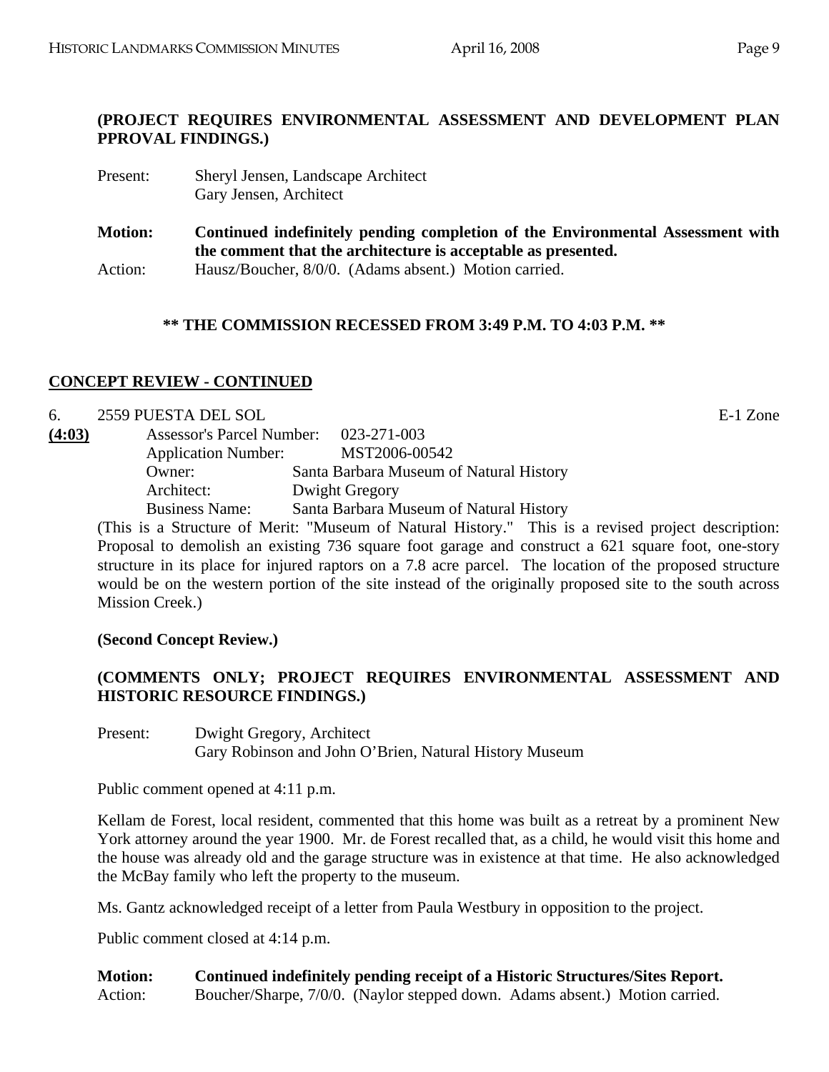#### **(PROJECT REQUIRES ENVIRONMENTAL ASSESSMENT AND DEVELOPMENT PLAN PPROVAL FINDINGS.)**

Present: Sheryl Jensen, Landscape Architect Gary Jensen, Architect

**Motion: Continued indefinitely pending completion of the Environmental Assessment with the comment that the architecture is acceptable as presented.**  Action: Hausz/Boucher, 8/0/0. (Adams absent.) Motion carried.

#### **\*\* THE COMMISSION RECESSED FROM 3:49 P.M. TO 4:03 P.M. \*\***

#### **CONCEPT REVIEW - CONTINUED**

| 6.     | 2559 PUESTA DEL SOL        |                                                                                                                                                                                                                                                                                         |  | E-1 Zone                                                              |
|--------|----------------------------|-----------------------------------------------------------------------------------------------------------------------------------------------------------------------------------------------------------------------------------------------------------------------------------------|--|-----------------------------------------------------------------------|
| (4:03) |                            | Assessor's Parcel Number: 023-271-003                                                                                                                                                                                                                                                   |  |                                                                       |
|        | <b>Application Number:</b> | MST2006-00542                                                                                                                                                                                                                                                                           |  |                                                                       |
|        | Owner:                     | Santa Barbara Museum of Natural History                                                                                                                                                                                                                                                 |  |                                                                       |
|        | Architect:                 | Dwight Gregory                                                                                                                                                                                                                                                                          |  |                                                                       |
|        | <b>Business Name:</b>      | Santa Barbara Museum of Natural History                                                                                                                                                                                                                                                 |  |                                                                       |
|        |                            | $\sqrt{111}$ . $\sqrt{111}$ . $\sqrt{111}$ . $\sqrt{111}$ . $\sqrt{111}$ . $\sqrt{111}$ . $\sqrt{111}$ . $\sqrt{111}$ . $\sqrt{111}$ . $\sqrt{111}$ . $\sqrt{111}$ . $\sqrt{111}$ . $\sqrt{111}$ . $\sqrt{111}$ . $\sqrt{111}$ . $\sqrt{111}$ . $\sqrt{111}$ . $\sqrt{111}$ . $\sqrt{1$ |  | $\mathbf{r}$ , and $\mathbf{r}$ , and $\mathbf{r}$ , and $\mathbf{r}$ |

(This is a Structure of Merit: "Museum of Natural History." This is a revised project description: Proposal to demolish an existing 736 square foot garage and construct a 621 square foot, one-story structure in its place for injured raptors on a 7.8 acre parcel. The location of the proposed structure would be on the western portion of the site instead of the originally proposed site to the south across Mission Creek.)

**(Second Concept Review.)** 

# **(COMMENTS ONLY; PROJECT REQUIRES ENVIRONMENTAL ASSESSMENT AND HISTORIC RESOURCE FINDINGS.)**

Present: Dwight Gregory, Architect Gary Robinson and John O'Brien, Natural History Museum

Public comment opened at 4:11 p.m.

Kellam de Forest, local resident, commented that this home was built as a retreat by a prominent New York attorney around the year 1900. Mr. de Forest recalled that, as a child, he would visit this home and the house was already old and the garage structure was in existence at that time. He also acknowledged the McBay family who left the property to the museum.

Ms. Gantz acknowledged receipt of a letter from Paula Westbury in opposition to the project.

Public comment closed at 4:14 p.m.

**Motion: Continued indefinitely pending receipt of a Historic Structures/Sites Report.**  Action: Boucher/Sharpe, 7/0/0. (Naylor stepped down. Adams absent.) Motion carried.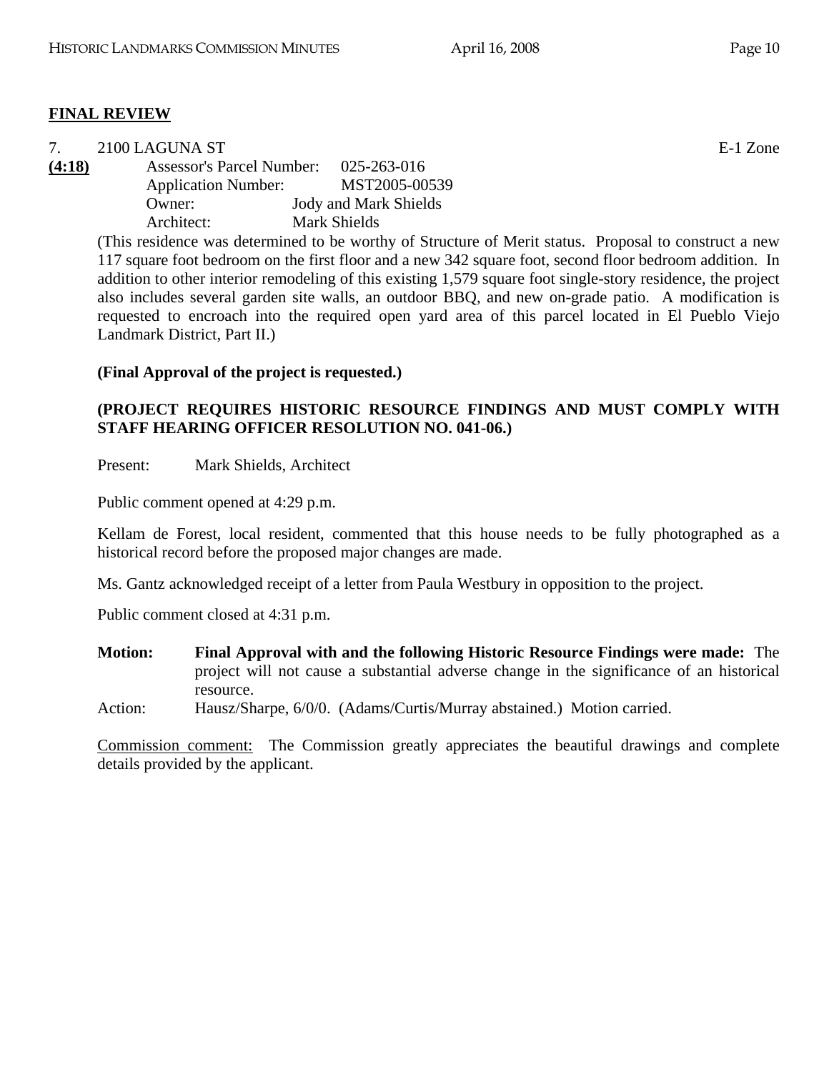# **FINAL REVIEW**

| 7.     | 2100 LAGUNA ST                        |                                                                                                       | E-1 Zone |
|--------|---------------------------------------|-------------------------------------------------------------------------------------------------------|----------|
| (4:18) | Assessor's Parcel Number: 025-263-016 |                                                                                                       |          |
|        | <b>Application Number:</b>            | MST2005-00539                                                                                         |          |
|        | Owner:                                | <b>Jody and Mark Shields</b>                                                                          |          |
|        | Architect:                            | Mark Shields                                                                                          |          |
|        |                                       | (This residence was determined to be worthy of Structure of Merit status. Proposal to construct a new |          |

117 square foot bedroom on the first floor and a new 342 square foot, second floor bedroom addition. In addition to other interior remodeling of this existing 1,579 square foot single-story residence, the project also includes several garden site walls, an outdoor BBQ, and new on-grade patio. A modification is requested to encroach into the required open yard area of this parcel located in El Pueblo Viejo Landmark District, Part II.)

# **(Final Approval of the project is requested.)**

# **(PROJECT REQUIRES HISTORIC RESOURCE FINDINGS AND MUST COMPLY WITH STAFF HEARING OFFICER RESOLUTION NO. 041-06.)**

Present: Mark Shields, Architect

Public comment opened at 4:29 p.m.

Kellam de Forest, local resident, commented that this house needs to be fully photographed as a historical record before the proposed major changes are made.

Ms. Gantz acknowledged receipt of a letter from Paula Westbury in opposition to the project.

Public comment closed at 4:31 p.m.

- **Motion: Final Approval with and the following Historic Resource Findings were made:** The project will not cause a substantial adverse change in the significance of an historical resource.
- Action: Hausz/Sharpe, 6/0/0. (Adams/Curtis/Murray abstained.) Motion carried.

Commission comment: The Commission greatly appreciates the beautiful drawings and complete details provided by the applicant.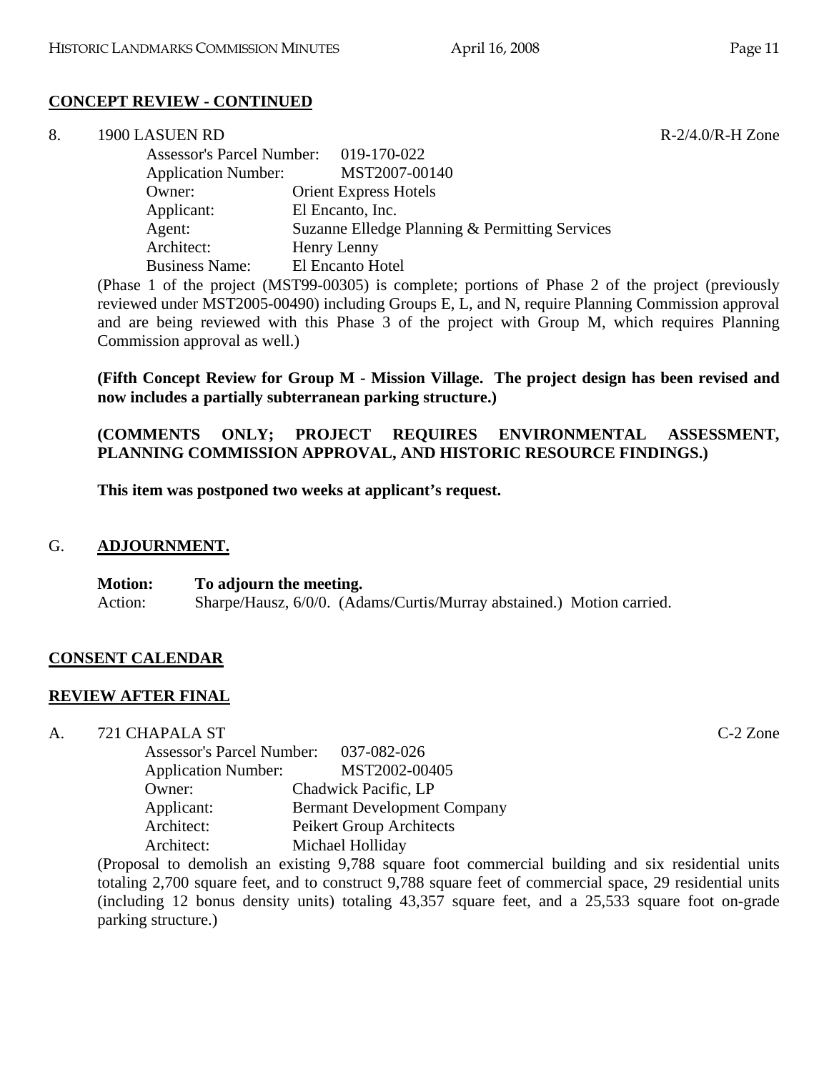# **CONCEPT REVIEW - CONTINUED**

| 8. | 1900 LASUEN RD             |                                                | $R-2/4.0/R-H$ Zone |
|----|----------------------------|------------------------------------------------|--------------------|
|    |                            | Assessor's Parcel Number: 019-170-022          |                    |
|    | <b>Application Number:</b> | MST2007-00140                                  |                    |
|    | Owner:                     | <b>Orient Express Hotels</b>                   |                    |
|    | Applicant:                 | El Encanto, Inc.                               |                    |
|    | Agent:                     | Suzanne Elledge Planning & Permitting Services |                    |
|    | Architect:                 | Henry Lenny                                    |                    |
|    | <b>Business Name:</b>      | El Encanto Hotel                               |                    |

(Phase 1 of the project (MST99-00305) is complete; portions of Phase 2 of the project (previously reviewed under MST2005-00490) including Groups E, L, and N, require Planning Commission approval and are being reviewed with this Phase 3 of the project with Group M, which requires Planning Commission approval as well.)

**(Fifth Concept Review for Group M - Mission Village. The project design has been revised and now includes a partially subterranean parking structure.)** 

**(COMMENTS ONLY; PROJECT REQUIRES ENVIRONMENTAL ASSESSMENT, PLANNING COMMISSION APPROVAL, AND HISTORIC RESOURCE FINDINGS.)** 

**This item was postponed two weeks at applicant's request.** 

#### G. **ADJOURNMENT.**

**Motion: To adjourn the meeting.**  Action: Sharpe/Hausz, 6/0/0. (Adams/Curtis/Murray abstained.) Motion carried.

# **CONSENT CALENDAR**

#### **REVIEW AFTER FINAL**

A. 721 CHAPALA ST C-2 Zone

| <b>Assessor's Parcel Number:</b> | 037-082-026                        |
|----------------------------------|------------------------------------|
| <b>Application Number:</b>       | MST2002-00405                      |
| Owner:                           | Chadwick Pacific, LP               |
| Applicant:                       | <b>Bermant Development Company</b> |
| Architect:                       | Peikert Group Architects           |
| Architect:                       | Michael Holliday                   |

(Proposal to demolish an existing 9,788 square foot commercial building and six residential units totaling 2,700 square feet, and to construct 9,788 square feet of commercial space, 29 residential units (including 12 bonus density units) totaling 43,357 square feet, and a 25,533 square foot on-grade parking structure.)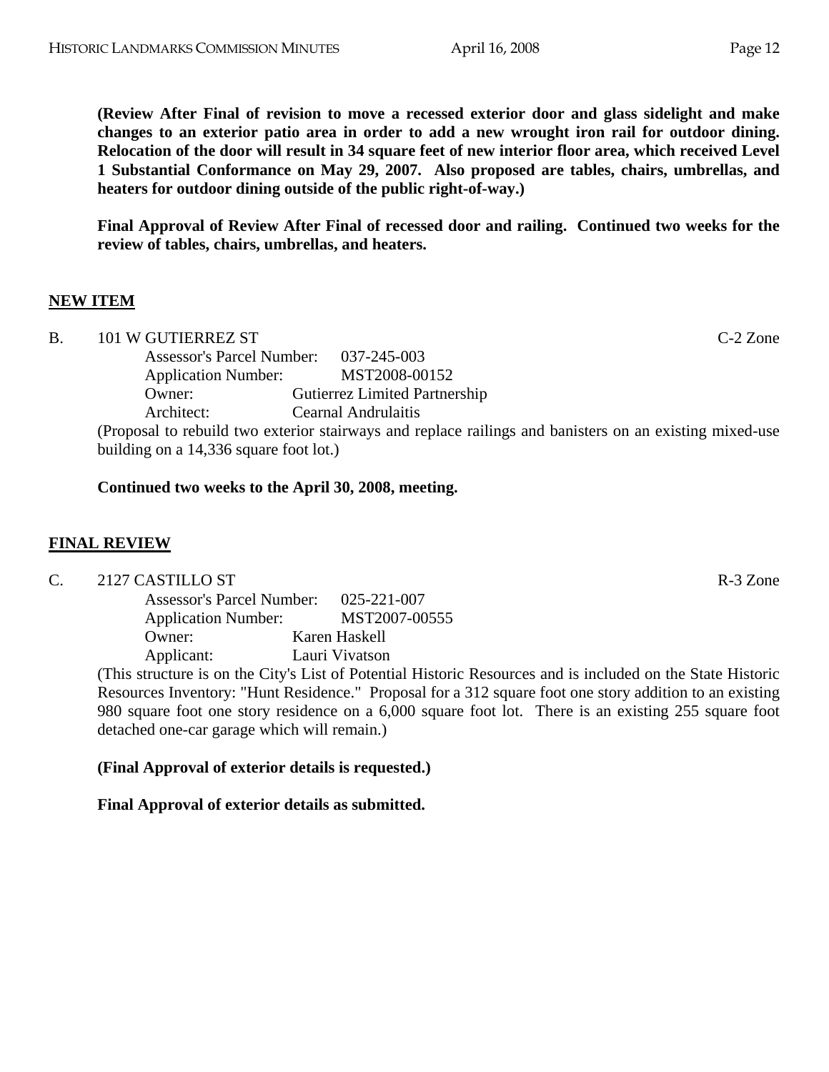**(Review After Final of revision to move a recessed exterior door and glass sidelight and make changes to an exterior patio area in order to add a new wrought iron rail for outdoor dining. Relocation of the door will result in 34 square feet of new interior floor area, which received Level 1 Substantial Conformance on May 29, 2007. Also proposed are tables, chairs, umbrellas, and heaters for outdoor dining outside of the public right-of-way.)** 

**Final Approval of Review After Final of recessed door and railing. Continued two weeks for the review of tables, chairs, umbrellas, and heaters.** 

# **NEW ITEM**

| B. | 101 W GUTIERREZ ST                     |                                                                                                         | $C-2$ Zone |
|----|----------------------------------------|---------------------------------------------------------------------------------------------------------|------------|
|    | Assessor's Parcel Number: 037-245-003  |                                                                                                         |            |
|    | <b>Application Number:</b>             | MST2008-00152                                                                                           |            |
|    | Owner:                                 | <b>Gutierrez Limited Partnership</b>                                                                    |            |
|    | Architect:                             | Cearnal Andrulaitis                                                                                     |            |
|    |                                        | (Proposal to rebuild two exterior stairways and replace railings and banisters on an existing mixed-use |            |
|    | building on a 14,336 square foot lot.) |                                                                                                         |            |

# **Continued two weeks to the April 30, 2008, meeting.**

# **FINAL REVIEW**

C. 2127 CASTILLO ST R-3 Zone

 Assessor's Parcel Number: 025-221-007 Application Number: MST2007-00555 Owner: Karen Haskell Applicant: Lauri Vivatson

(This structure is on the City's List of Potential Historic Resources and is included on the State Historic Resources Inventory: "Hunt Residence." Proposal for a 312 square foot one story addition to an existing 980 square foot one story residence on a 6,000 square foot lot. There is an existing 255 square foot detached one-car garage which will remain.)

# **(Final Approval of exterior details is requested.)**

# **Final Approval of exterior details as submitted.**